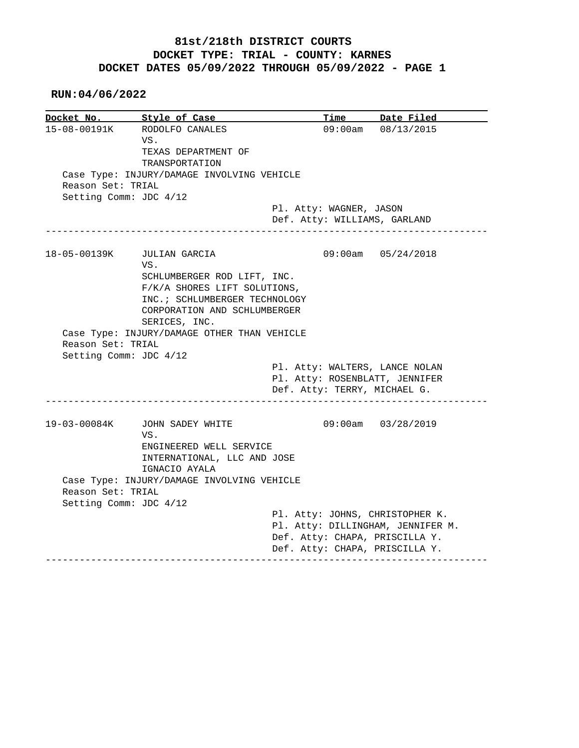## **81st/218th DISTRICT COURTS DOCKET TYPE: TRIAL - COUNTY: KARNES DOCKET DATES 05/09/2022 THROUGH 05/09/2022 - PAGE 1**

 **RUN:04/06/2022**

|                        | Docket No. 5tyle of Case                                     |                                   | Time Date Filed    |
|------------------------|--------------------------------------------------------------|-----------------------------------|--------------------|
| 15-08-00191K           | RODOLFO CANALES                                              |                                   | 09:00am 08/13/2015 |
|                        | VS.                                                          |                                   |                    |
|                        | TEXAS DEPARTMENT OF                                          |                                   |                    |
|                        | TRANSPORTATION                                               |                                   |                    |
|                        | Case Type: INJURY/DAMAGE INVOLVING VEHICLE                   |                                   |                    |
| Reason Set: TRIAL      |                                                              |                                   |                    |
| Setting Comm: JDC 4/12 |                                                              |                                   |                    |
|                        |                                                              | Pl. Atty: WAGNER, JASON           |                    |
|                        |                                                              | Def. Atty: WILLIAMS, GARLAND      |                    |
| 18-05-00139K           | JULIAN GARCIA                                                |                                   | 09:00am 05/24/2018 |
|                        | VS.                                                          |                                   |                    |
|                        | SCHLUMBERGER ROD LIFT, INC.                                  |                                   |                    |
|                        | F/K/A SHORES LIFT SOLUTIONS,                                 |                                   |                    |
|                        | INC. ; SCHLUMBERGER TECHNOLOGY                               |                                   |                    |
|                        | CORPORATION AND SCHLUMBERGER                                 |                                   |                    |
|                        |                                                              |                                   |                    |
|                        |                                                              |                                   |                    |
|                        | SERICES, INC.<br>Case Type: INJURY/DAMAGE OTHER THAN VEHICLE |                                   |                    |
| Reason Set: TRIAL      |                                                              |                                   |                    |
|                        |                                                              |                                   |                    |
| Setting Comm: JDC 4/12 |                                                              | Pl. Atty: WALTERS, LANCE NOLAN    |                    |
|                        |                                                              | Pl. Atty: ROSENBLATT, JENNIFER    |                    |
|                        |                                                              | Def. Atty: TERRY, MICHAEL G.      |                    |
|                        |                                                              |                                   |                    |
| 19-03-00084K           | JOHN SADEY WHITE<br>VS.                                      |                                   | 09:00am 03/28/2019 |
|                        | ENGINEERED WELL SERVICE                                      |                                   |                    |
|                        | INTERNATIONAL, LLC AND JOSE                                  |                                   |                    |
|                        | IGNACIO AYALA                                                |                                   |                    |
|                        | Case Type: INJURY/DAMAGE INVOLVING VEHICLE                   |                                   |                    |
| Reason Set: TRIAL      |                                                              |                                   |                    |
| Setting Comm: JDC 4/12 |                                                              |                                   |                    |
|                        |                                                              | Pl. Atty: JOHNS, CHRISTOPHER K.   |                    |
|                        |                                                              | Pl. Atty: DILLINGHAM, JENNIFER M. |                    |
|                        |                                                              | Def. Atty: CHAPA, PRISCILLA Y.    |                    |